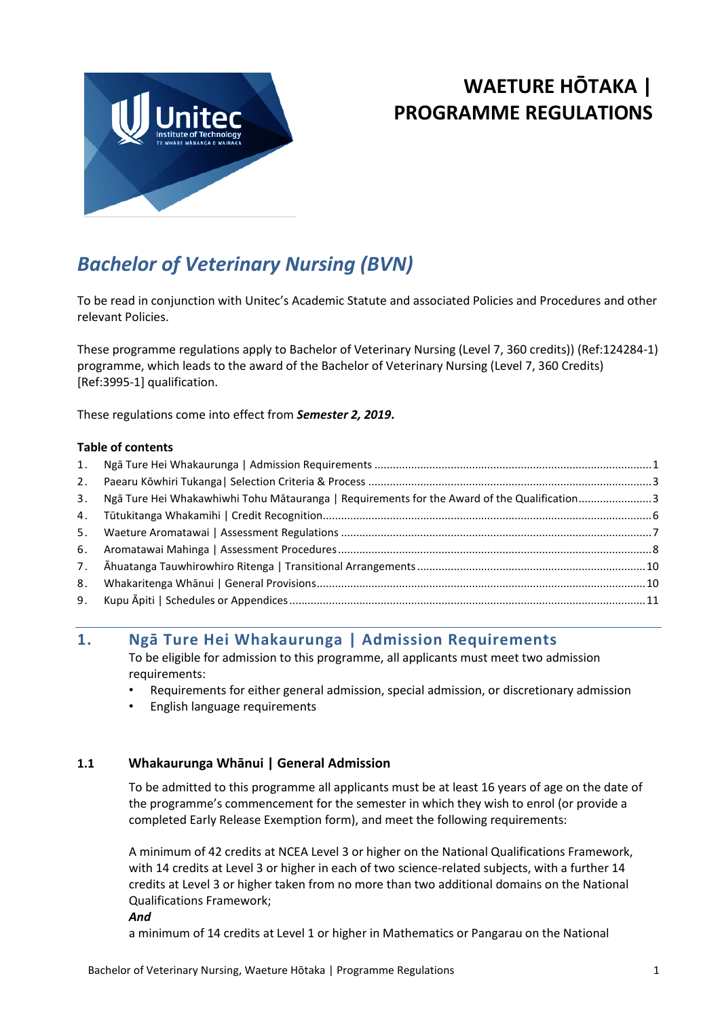

# **WAETURE HŌTAKA | PROGRAMME REGULATIONS**

# *Bachelor of Veterinary Nursing (BVN)*

To be read in conjunction with Unitec's Academic Statute and associated Policies and Procedures and other relevant Policies.

These programme regulations apply to Bachelor of Veterinary Nursing (Level 7, 360 credits)) (Ref:124284-1) programme, which leads to the award of the Bachelor of Veterinary Nursing (Level 7, 360 Credits) [Ref:3995-1] qualification.

These regulations come into effect from *Semester 2, 2019***.**

#### **Table of contents**

|    | 3. Ngā Ture Hei Whakawhiwhi Tohu Mātauranga   Requirements for the Award of the Qualification3 |  |
|----|------------------------------------------------------------------------------------------------|--|
|    |                                                                                                |  |
|    |                                                                                                |  |
|    |                                                                                                |  |
|    |                                                                                                |  |
| 8. |                                                                                                |  |
|    |                                                                                                |  |
|    |                                                                                                |  |

# <span id="page-0-0"></span>**1. Ngā Ture Hei Whakaurunga | Admission Requirements**

To be eligible for admission to this programme, all applicants must meet two admission requirements:

- Requirements for either general admission, special admission, or discretionary admission
- English language requirements

#### **1.1 Whakaurunga Whānui | General Admission**

To be admitted to this programme all applicants must be at least 16 years of age on the date of the programme's commencement for the semester in which they wish to enrol (or provide a completed Early Release Exemption form), and meet the following requirements:

A minimum of 42 credits at NCEA Level 3 or higher on the National Qualifications Framework, with 14 credits at Level 3 or higher in each of two science-related subjects, with a further 14 credits at Level 3 or higher taken from no more than two additional domains on the National Qualifications Framework;

*And*

a minimum of 14 credits at Level 1 or higher in Mathematics or Pangarau on the National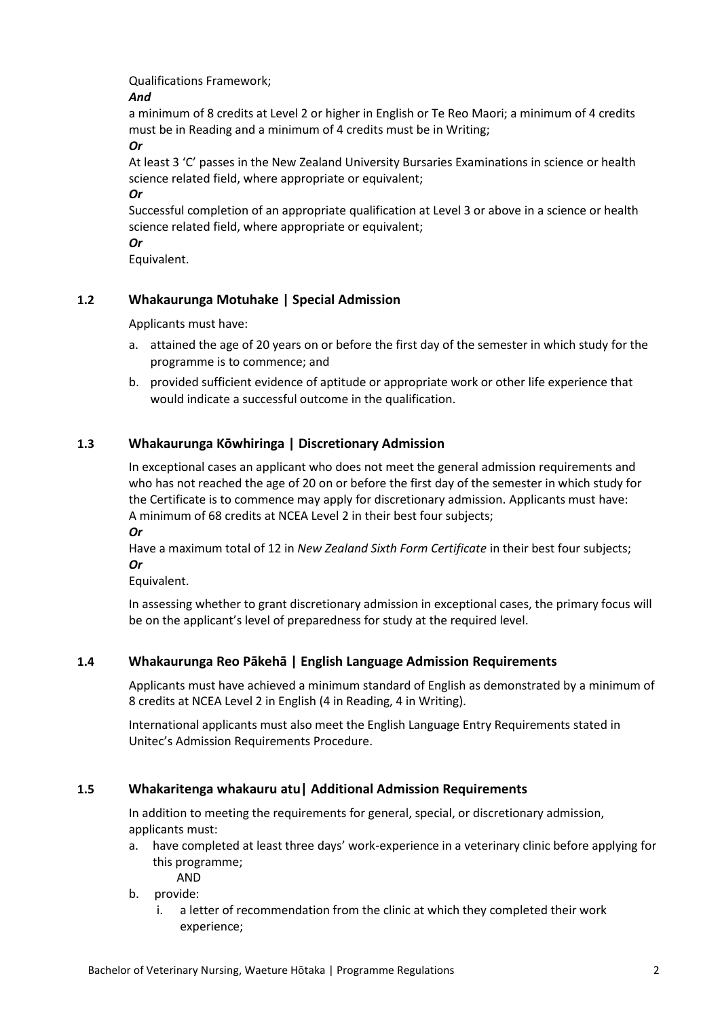Qualifications Framework;

#### *And*

a minimum of 8 credits at Level 2 or higher in English or Te Reo Maori; a minimum of 4 credits must be in Reading and a minimum of 4 credits must be in Writing;

*Or*

At least 3 'C' passes in the New Zealand University Bursaries Examinations in science or health science related field, where appropriate or equivalent;

*Or*

Successful completion of an appropriate qualification at Level 3 or above in a science or health science related field, where appropriate or equivalent;

*Or*

Equivalent.

# **1.2 Whakaurunga Motuhake | Special Admission**

Applicants must have:

- a. attained the age of 20 years on or before the first day of the semester in which study for the programme is to commence; and
- b. provided sufficient evidence of aptitude or appropriate work or other life experience that would indicate a successful outcome in the qualification.

# **1.3 Whakaurunga Kōwhiringa | Discretionary Admission**

In exceptional cases an applicant who does not meet the general admission requirements and who has not reached the age of 20 on or before the first day of the semester in which study for the Certificate is to commence may apply for discretionary admission. Applicants must have: A minimum of 68 credits at NCEA Level 2 in their best four subjects;

*Or*

Have a maximum total of 12 in *New Zealand Sixth Form Certificate* in their best four subjects; *Or*

Equivalent.

In assessing whether to grant discretionary admission in exceptional cases, the primary focus will be on the applicant's level of preparedness for study at the required level.

# **1.4 Whakaurunga Reo Pākehā | English Language Admission Requirements**

Applicants must have achieved a minimum standard of English as demonstrated by a minimum of 8 credits at NCEA Level 2 in English (4 in Reading, 4 in Writing).

International applicants must also meet the English Language Entry Requirements stated in Unitec's Admission Requirements Procedure.

# **1.5 Whakaritenga whakauru atu| Additional Admission Requirements**

In addition to meeting the requirements for general, special, or discretionary admission, applicants must:

a. have completed at least three days' work-experience in a veterinary clinic before applying for this programme;

AND

- b. provide:
	- i. a letter of recommendation from the clinic at which they completed their work experience;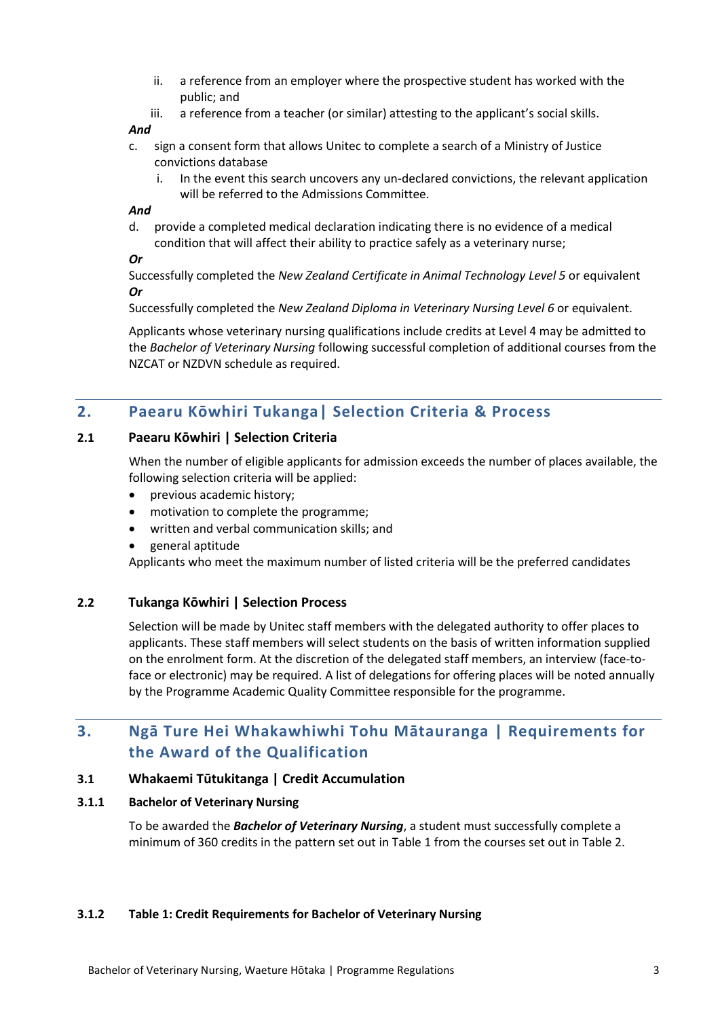- ii. a reference from an employer where the prospective student has worked with the public; and
- iii. a reference from a teacher (or similar) attesting to the applicant's social skills.

#### *And*

- c. sign a consent form that allows Unitec to complete a search of a Ministry of Justice convictions database
	- i. In the event this search uncovers any un-declared convictions, the relevant application will be referred to the Admissions Committee.

#### *And*

d. provide a completed medical declaration indicating there is no evidence of a medical condition that will affect their ability to practice safely as a veterinary nurse;

#### *Or*

Successfully completed the *New Zealand Certificate in Animal Technology Level 5* or equivalent *Or*

Successfully completed the *New Zealand Diploma in Veterinary Nursing Level 6* or equivalent.

Applicants whose veterinary nursing qualifications include credits at Level 4 may be admitted to the *Bachelor of Veterinary Nursing* following successful completion of additional courses from the NZCAT or NZDVN schedule as required.

# <span id="page-2-0"></span>**2. Paearu Kōwhiri Tukanga| Selection Criteria & Process**

#### **2.1 Paearu Kōwhiri | Selection Criteria**

When the number of eligible applicants for admission exceeds the number of places available, the following selection criteria will be applied:

- previous academic history;
- motivation to complete the programme;
- written and verbal communication skills; and
- general aptitude

Applicants who meet the maximum number of listed criteria will be the preferred candidates

#### **2.2 Tukanga Kōwhiri | Selection Process**

Selection will be made by Unitec staff members with the delegated authority to offer places to applicants. These staff members will select students on the basis of written information supplied on the enrolment form. At the discretion of the delegated staff members, an interview (face-toface or electronic) may be required. A list of delegations for offering places will be noted annually by the Programme Academic Quality Committee responsible for the programme.

# <span id="page-2-1"></span>**3. Ngā Ture Hei Whakawhiwhi Tohu Mātauranga | Requirements for the Award of the Qualification**

#### **3.1 Whakaemi Tūtukitanga | Credit Accumulation**

#### **3.1.1 Bachelor of Veterinary Nursing**

To be awarded the *Bachelor of Veterinary Nursing*, a student must successfully complete a minimum of 360 credits in the pattern set out in Table 1 from the courses set out in Table 2.

#### **3.1.2 Table 1: Credit Requirements for Bachelor of Veterinary Nursing**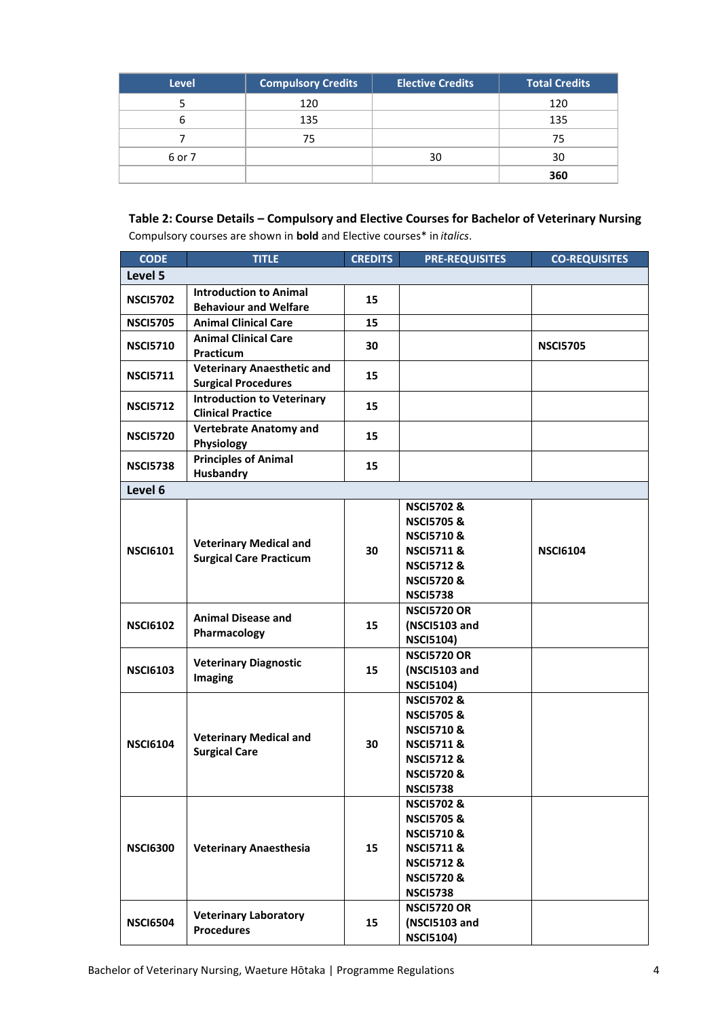| <b>Level</b> | <b>Compulsory Credits</b> | <b>Elective Credits</b> | Total Credits |
|--------------|---------------------------|-------------------------|---------------|
|              | 120                       |                         | 120           |
|              | 135                       |                         | 135           |
|              | 75                        |                         | 75            |
| 6 or 7       |                           | 30                      | 30            |
|              |                           |                         | 360           |

# **Table 2: Course Details – Compulsory and Elective Courses for Bachelor of Veterinary Nursing**

Compulsory courses are shown in **bold** and Elective courses\* in *italics*.

| <b>CODE</b>     | <b>TITLE</b>                                                    | <b>CREDITS</b> | <b>PRE-REQUISITES</b>                                                                                                                                           | <b>CO-REQUISITES</b> |
|-----------------|-----------------------------------------------------------------|----------------|-----------------------------------------------------------------------------------------------------------------------------------------------------------------|----------------------|
| Level 5         |                                                                 |                |                                                                                                                                                                 |                      |
| <b>NSCI5702</b> | <b>Introduction to Animal</b><br><b>Behaviour and Welfare</b>   | 15             |                                                                                                                                                                 |                      |
| <b>NSCI5705</b> | <b>Animal Clinical Care</b>                                     | 15             |                                                                                                                                                                 |                      |
| <b>NSCI5710</b> | <b>Animal Clinical Care</b><br>Practicum                        | 30             |                                                                                                                                                                 | <b>NSCI5705</b>      |
| <b>NSCI5711</b> | <b>Veterinary Anaesthetic and</b><br><b>Surgical Procedures</b> | 15             |                                                                                                                                                                 |                      |
| <b>NSCI5712</b> | <b>Introduction to Veterinary</b><br><b>Clinical Practice</b>   | 15             |                                                                                                                                                                 |                      |
| <b>NSCI5720</b> | <b>Vertebrate Anatomy and</b><br>Physiology                     | 15             |                                                                                                                                                                 |                      |
| <b>NSCI5738</b> | <b>Principles of Animal</b><br><b>Husbandry</b>                 | 15             |                                                                                                                                                                 |                      |
| Level 6         |                                                                 |                |                                                                                                                                                                 |                      |
| <b>NSCI6101</b> | <b>Veterinary Medical and</b><br><b>Surgical Care Practicum</b> | 30             | <b>NSCI5702&amp;</b><br><b>NSCI5705&amp;</b><br><b>NSCI5710&amp;</b><br><b>NSCI5711&amp;</b><br><b>NSCI5712&amp;</b><br><b>NSCI5720&amp;</b><br><b>NSCI5738</b> | <b>NSCI6104</b>      |
| <b>NSCI6102</b> | <b>Animal Disease and</b><br>Pharmacology                       | 15             | <b>NSCI5720 OR</b><br>(NSCI5103 and<br><b>NSCI5104)</b>                                                                                                         |                      |
| <b>NSCI6103</b> | <b>Veterinary Diagnostic</b><br>Imaging                         | 15             | <b>NSCI5720 OR</b><br>(NSCI5103 and<br><b>NSCI5104)</b>                                                                                                         |                      |
| <b>NSCI6104</b> | <b>Veterinary Medical and</b><br><b>Surgical Care</b>           | 30             | <b>NSCI5702&amp;</b><br><b>NSCI5705&amp;</b><br><b>NSCI5710&amp;</b><br><b>NSCI5711&amp;</b><br><b>NSCI5712&amp;</b><br><b>NSCI5720&amp;</b><br><b>NSCI5738</b> |                      |
| <b>NSCI6300</b> | <b>Veterinary Anaesthesia</b>                                   | 15             | <b>NSCI5702&amp;</b><br><b>NSCI5705&amp;</b><br><b>NSCI5710&amp;</b><br><b>NSCI5711&amp;</b><br><b>NSCI5712&amp;</b><br><b>NSCI5720&amp;</b><br><b>NSCI5738</b> |                      |
| <b>NSCI6504</b> | <b>Veterinary Laboratory</b><br><b>Procedures</b>               | 15             | <b>NSCI5720 OR</b><br>(NSCI5103 and<br><b>NSCI5104)</b>                                                                                                         |                      |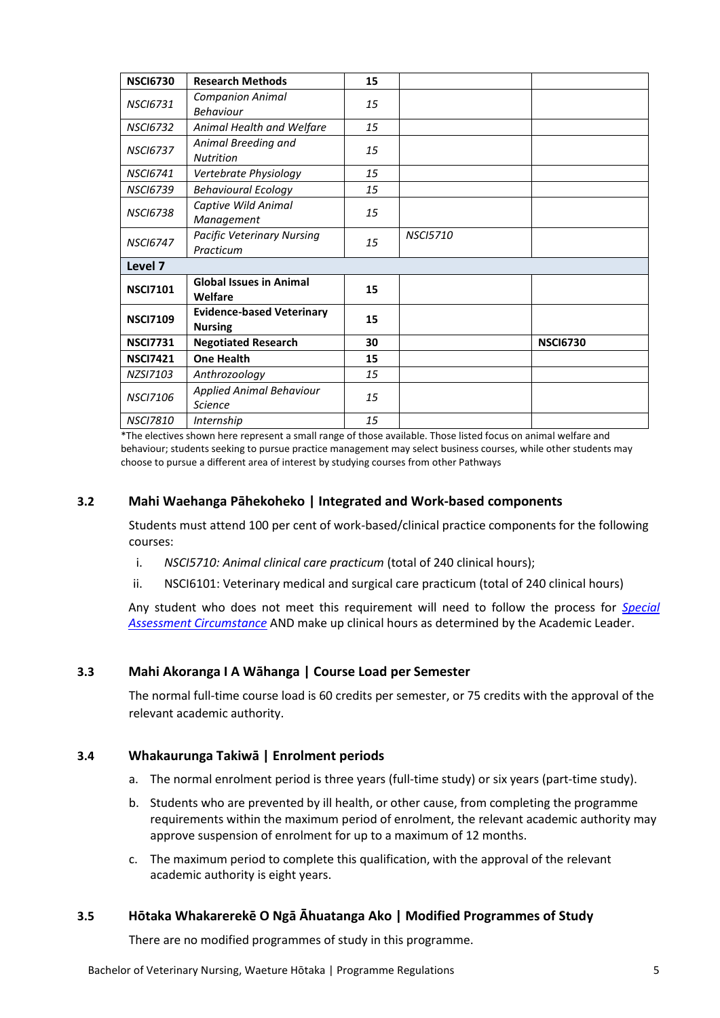| <b>NSCI6730</b> | <b>Research Methods</b>                            | 15 |                 |                 |  |  |
|-----------------|----------------------------------------------------|----|-----------------|-----------------|--|--|
| <b>NSCI6731</b> | <b>Companion Animal</b><br><b>Behaviour</b>        | 15 |                 |                 |  |  |
| <b>NSCI6732</b> | Animal Health and Welfare                          | 15 |                 |                 |  |  |
| <b>NSCI6737</b> | Animal Breeding and<br><b>Nutrition</b>            | 15 |                 |                 |  |  |
| <b>NSCI6741</b> | Vertebrate Physiology                              | 15 |                 |                 |  |  |
| <b>NSCI6739</b> | <b>Behavioural Ecology</b>                         | 15 |                 |                 |  |  |
| <b>NSCI6738</b> | Captive Wild Animal<br>Management                  | 15 |                 |                 |  |  |
| <b>NSCI6747</b> | <b>Pacific Veterinary Nursing</b><br>Practicum     | 15 | <b>NSCI5710</b> |                 |  |  |
| Level 7         |                                                    |    |                 |                 |  |  |
| <b>NSCI7101</b> | <b>Global Issues in Animal</b><br>Welfare          | 15 |                 |                 |  |  |
| <b>NSCI7109</b> | <b>Evidence-based Veterinary</b><br><b>Nursing</b> | 15 |                 |                 |  |  |
| <b>NSCI7731</b> | <b>Negotiated Research</b>                         | 30 |                 | <b>NSCI6730</b> |  |  |
| <b>NSCI7421</b> | <b>One Health</b>                                  | 15 |                 |                 |  |  |
| NZS17103        | Anthrozoology                                      | 15 |                 |                 |  |  |
| <b>NSCI7106</b> | <b>Applied Animal Behaviour</b><br><b>Science</b>  | 15 |                 |                 |  |  |
| <b>NSCI7810</b> | Internship                                         | 15 |                 |                 |  |  |

\*The electives shown here represent a small range of those available. Those listed focus on animal welfare and behaviour; students seeking to pursue practice management may select business courses, while other students may choose to pursue a different area of interest by studying courses from other Pathways

### **3.2 Mahi Waehanga Pāhekoheko | Integrated and Work-based components**

Students must attend 100 per cent of work-based/clinical practice components for the following courses:

- i. *NSCI5710: Animal clinical care practicum* (total of 240 clinical hours);
- ii. NSCI6101: Veterinary medical and surgical care practicum (total of 240 clinical hours)

Any student who does not meet this requirement will need to follow the process for *Special Assessment Circumstance* AND make up clinical hours as determined by the Academic Leader.

#### **3.3 Mahi Akoranga I A Wāhanga | Course Load per Semester**

The normal full-time course load is 60 credits per semester, or 75 credits with the approval of the relevant academic authority.

#### **3.4 Whakaurunga Takiwā | Enrolment periods**

- a. The normal enrolment period is three years (full-time study) or six years (part-time study).
- b. Students who are prevented by ill health, or other cause, from completing the programme requirements within the maximum period of enrolment, the relevant academic authority may approve suspension of enrolment for up to a maximum of 12 months.
- c. The maximum period to complete this qualification, with the approval of the relevant academic authority is eight years.

#### **3.5 Hōtaka Whakarerekē O Ngā Āhuatanga Ako | Modified Programmes of Study**

There are no modified programmes of study in this programme.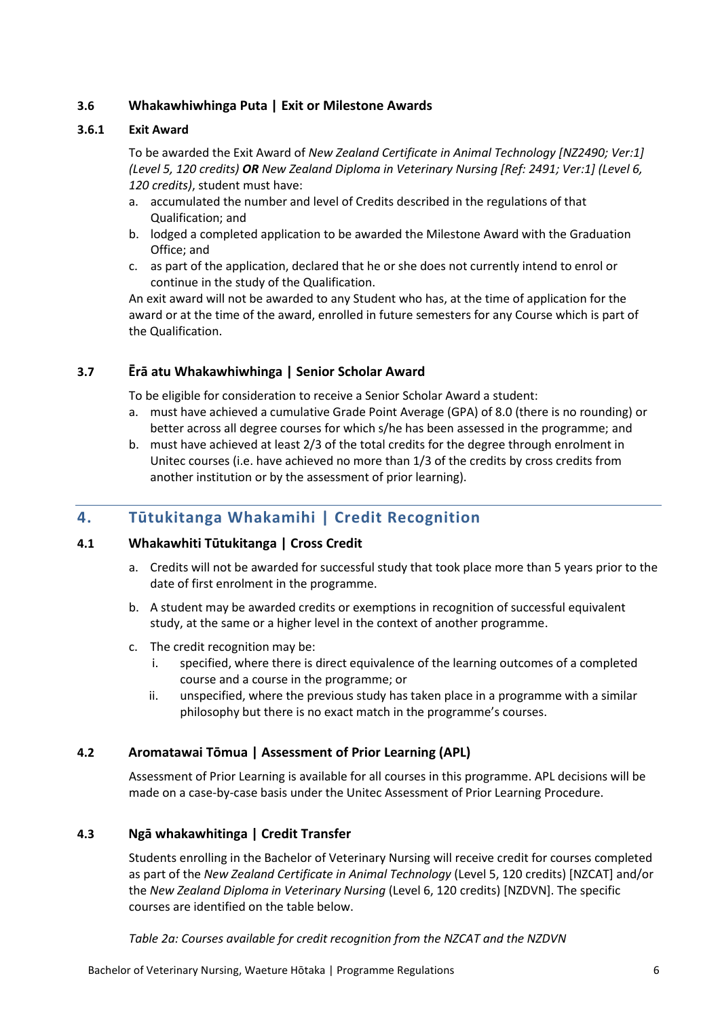### **3.6 Whakawhiwhinga Puta | Exit or Milestone Awards**

#### **3.6.1 Exit Award**

To be awarded the Exit Award of *New Zealand Certificate in Animal Technology [NZ2490; Ver:1] (Level 5, 120 credits) OR New Zealand Diploma in Veterinary Nursing [Ref: 2491; Ver:1] (Level 6, 120 credits)*, student must have:

- a. accumulated the number and level of Credits described in the regulations of that Qualification; and
- b. lodged a completed application to be awarded the Milestone Award with the Graduation Office; and
- c. as part of the application, declared that he or she does not currently intend to enrol or continue in the study of the Qualification.

An exit award will not be awarded to any Student who has, at the time of application for the award or at the time of the award, enrolled in future semesters for any Course which is part of the Qualification.

#### **3.7 Ērā atu Whakawhiwhinga | Senior Scholar Award**

To be eligible for consideration to receive a Senior Scholar Award a student:

- a. must have achieved a cumulative Grade Point Average (GPA) of 8.0 (there is no rounding) or better across all degree courses for which s/he has been assessed in the programme; and
- b. must have achieved at least 2/3 of the total credits for the degree through enrolment in Unitec courses (i.e. have achieved no more than 1/3 of the credits by cross credits from another institution or by the assessment of prior learning).

# <span id="page-5-0"></span>**4. Tūtukitanga Whakamihi | Credit Recognition**

#### **4.1 Whakawhiti Tūtukitanga | Cross Credit**

- a. Credits will not be awarded for successful study that took place more than 5 years prior to the date of first enrolment in the programme.
- b. A student may be awarded credits or exemptions in recognition of successful equivalent study, at the same or a higher level in the context of another programme.
- c. The credit recognition may be:
	- i. specified, where there is direct equivalence of the learning outcomes of a completed course and a course in the programme; or
	- ii. unspecified, where the previous study has taken place in a programme with a similar philosophy but there is no exact match in the programme's courses.

#### **4.2 Aromatawai Tōmua | Assessment of Prior Learning (APL)**

Assessment of Prior Learning is available for all courses in this programme. APL decisions will be made on a case-by-case basis under the Unitec Assessment of Prior Learning Procedure.

#### **4.3 Ngā whakawhitinga | Credit Transfer**

Students enrolling in the Bachelor of Veterinary Nursing will receive credit for courses completed as part of the *New Zealand Certificate in Animal Technology* (Level 5, 120 credits) [NZCAT] and/or the *New Zealand Diploma in Veterinary Nursing* (Level 6, 120 credits) [NZDVN]. The specific courses are identified on the table below.

*Table 2a: Courses available for credit recognition from the NZCAT and the NZDVN*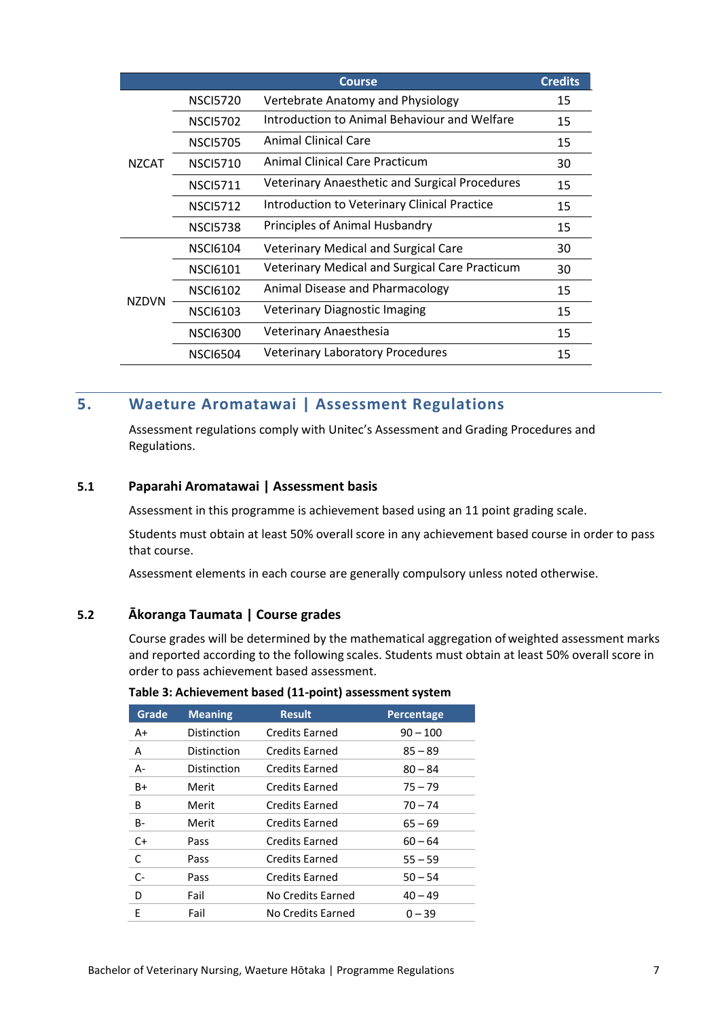|              |                 | <b>Course</b>                                         | <b>Credits</b> |
|--------------|-----------------|-------------------------------------------------------|----------------|
|              | <b>NSCI5720</b> | Vertebrate Anatomy and Physiology                     | 15             |
|              | <b>NSCI5702</b> | Introduction to Animal Behaviour and Welfare          | 15             |
|              | <b>NSCI5705</b> | Animal Clinical Care                                  | 15             |
| <b>NZCAT</b> | <b>NSCI5710</b> | Animal Clinical Care Practicum                        | 30             |
|              | <b>NSCI5711</b> | <b>Veterinary Anaesthetic and Surgical Procedures</b> | 15             |
|              | <b>NSCI5712</b> | Introduction to Veterinary Clinical Practice          | 15             |
|              | <b>NSCI5738</b> | Principles of Animal Husbandry                        | 15             |
|              | <b>NSCI6104</b> | <b>Veterinary Medical and Surgical Care</b>           | 30             |
|              | <b>NSCI6101</b> | <b>Veterinary Medical and Surgical Care Practicum</b> | 30             |
| <b>NZDVN</b> | <b>NSCI6102</b> | Animal Disease and Pharmacology                       | 15             |
|              | <b>NSCI6103</b> | <b>Veterinary Diagnostic Imaging</b>                  | 15             |
|              | <b>NSCI6300</b> | Veterinary Anaesthesia                                | 15             |
|              | <b>NSCI6504</b> | <b>Veterinary Laboratory Procedures</b>               | 15             |

# <span id="page-6-0"></span>**5. Waeture Aromatawai | Assessment Regulations**

Assessment regulations comply with Unitec's Assessment and Grading Procedures and Regulations.

#### **5.1 Paparahi Aromatawai | Assessment basis**

Assessment in this programme is achievement based using an 11 point grading scale.

Students must obtain at least 50% overall score in any achievement based course in order to pass that course.

Assessment elements in each course are generally compulsory unless noted otherwise.

#### **5.2 Ākoranga Taumata | Course grades**

Course grades will be determined by the mathematical aggregation ofweighted assessment marks and reported according to the following scales. Students must obtain at least 50% overall score in order to pass achievement based assessment.

| Grade     | <b>Meaning</b> | <b>Result</b>         | <b>Percentage</b> |
|-----------|----------------|-----------------------|-------------------|
| A+        | Distinction    | <b>Credits Earned</b> | $90 - 100$        |
| A         | Distinction    | <b>Credits Earned</b> | $85 - 89$         |
| А-        | Distinction    | <b>Credits Earned</b> | $80 - 84$         |
| B+        | Merit          | <b>Credits Earned</b> | $75 - 79$         |
| B         | Merit          | <b>Credits Earned</b> | $70 - 74$         |
| <b>B-</b> | Merit          | <b>Credits Earned</b> | $65 - 69$         |
| $C+$      | Pass           | <b>Credits Earned</b> | $60 - 64$         |
| C         | Pass           | <b>Credits Earned</b> | $55 - 59$         |
| $C-$      | Pass           | <b>Credits Earned</b> | $50 - 54$         |
| D         | Fail           | No Credits Earned     | $40 - 49$         |
| F         | Fail           | No Credits Earned     | $0 - 39$          |

#### **Table 3: Achievement based (11-point) assessment system**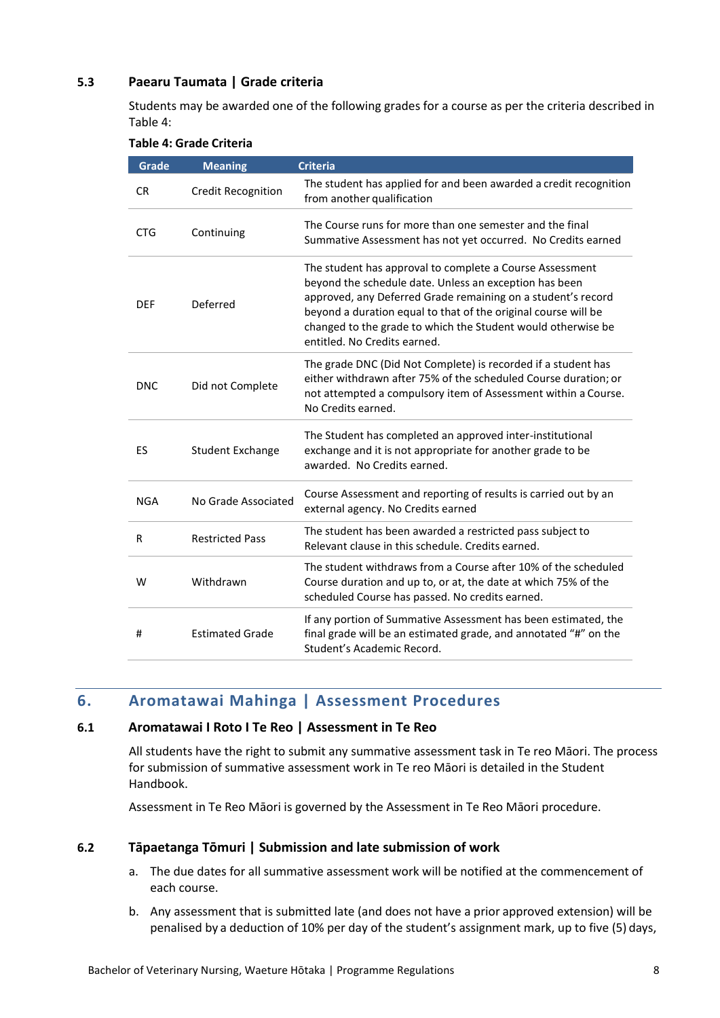#### **5.3 Paearu Taumata | Grade criteria**

Students may be awarded one of the following grades for a course as per the criteria described in Table 4:

|  |  |  | <b>Table 4: Grade Criteria</b> |
|--|--|--|--------------------------------|
|--|--|--|--------------------------------|

| <b>Grade</b> | <b>Meaning</b>            | <b>Criteria</b>                                                                                                                                                                                                                                                                                                                                      |
|--------------|---------------------------|------------------------------------------------------------------------------------------------------------------------------------------------------------------------------------------------------------------------------------------------------------------------------------------------------------------------------------------------------|
| <b>CR</b>    | <b>Credit Recognition</b> | The student has applied for and been awarded a credit recognition<br>from another qualification                                                                                                                                                                                                                                                      |
| <b>CTG</b>   | Continuing                | The Course runs for more than one semester and the final<br>Summative Assessment has not yet occurred. No Credits earned                                                                                                                                                                                                                             |
| <b>DEF</b>   | Deferred                  | The student has approval to complete a Course Assessment<br>beyond the schedule date. Unless an exception has been<br>approved, any Deferred Grade remaining on a student's record<br>beyond a duration equal to that of the original course will be<br>changed to the grade to which the Student would otherwise be<br>entitled. No Credits earned. |
| <b>DNC</b>   | Did not Complete          | The grade DNC (Did Not Complete) is recorded if a student has<br>either withdrawn after 75% of the scheduled Course duration; or<br>not attempted a compulsory item of Assessment within a Course.<br>No Credits earned.                                                                                                                             |
| ES           | <b>Student Exchange</b>   | The Student has completed an approved inter-institutional<br>exchange and it is not appropriate for another grade to be<br>awarded. No Credits earned.                                                                                                                                                                                               |
| <b>NGA</b>   | No Grade Associated       | Course Assessment and reporting of results is carried out by an<br>external agency. No Credits earned                                                                                                                                                                                                                                                |
| R            | <b>Restricted Pass</b>    | The student has been awarded a restricted pass subject to<br>Relevant clause in this schedule. Credits earned.                                                                                                                                                                                                                                       |
| W            | Withdrawn                 | The student withdraws from a Course after 10% of the scheduled<br>Course duration and up to, or at, the date at which 75% of the<br>scheduled Course has passed. No credits earned.                                                                                                                                                                  |
| #            | <b>Estimated Grade</b>    | If any portion of Summative Assessment has been estimated, the<br>final grade will be an estimated grade, and annotated "#" on the<br>Student's Academic Record.                                                                                                                                                                                     |

# <span id="page-7-0"></span>**6. Aromatawai Mahinga | Assessment Procedures**

#### **6.1 Aromatawai I Roto I Te Reo | Assessment in Te Reo**

All students have the right to submit any summative assessment task in Te reo Māori. The process for submission of summative assessment work in Te reo Māori is detailed in the Student Handbook.

Assessment in Te Reo Māori is governed by the Assessment in Te Reo Māori procedure.

#### **6.2 Tāpaetanga Tōmuri | Submission and late submission of work**

- a. The due dates for all summative assessment work will be notified at the commencement of each course.
- b. Any assessment that is submitted late (and does not have a prior approved extension) will be penalised by a deduction of 10% per day of the student's assignment mark, up to five (5) days,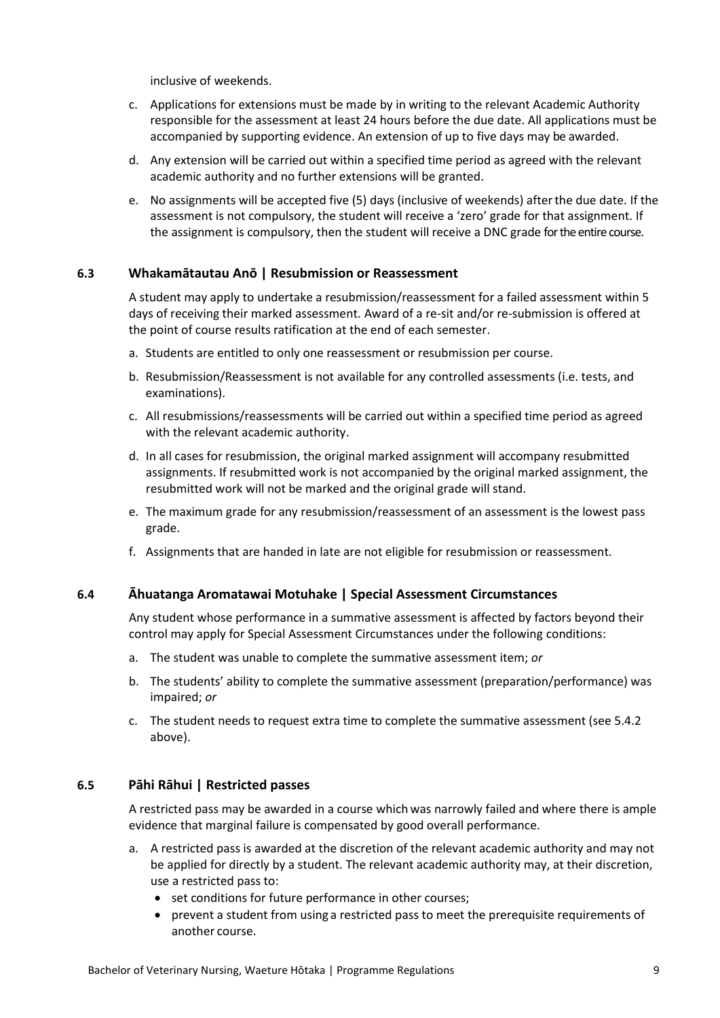inclusive of weekends.

- c. Applications for extensions must be made by in writing to the relevant Academic Authority responsible for the assessment at least 24 hours before the due date. All applications must be accompanied by supporting evidence. An extension of up to five days may be awarded.
- d. Any extension will be carried out within a specified time period as agreed with the relevant academic authority and no further extensions will be granted.
- e. No assignments will be accepted five (5) days (inclusive of weekends) afterthe due date. If the assessment is not compulsory, the student will receive a 'zero' grade for that assignment. If the assignment is compulsory, then the student will receive a DNC grade for the entire course.

#### **6.3 Whakamātautau Anō | Resubmission or Reassessment**

A student may apply to undertake a resubmission/reassessment for a failed assessment within 5 days of receiving their marked assessment. Award of a re-sit and/or re-submission is offered at the point of course results ratification at the end of each semester.

- a. Students are entitled to only one reassessment or resubmission per course.
- b. Resubmission/Reassessment is not available for any controlled assessments (i.e. tests, and examinations).
- c. All resubmissions/reassessments will be carried out within a specified time period as agreed with the relevant academic authority.
- d. In all cases for resubmission, the original marked assignment will accompany resubmitted assignments. If resubmitted work is not accompanied by the original marked assignment, the resubmitted work will not be marked and the original grade will stand.
- e. The maximum grade for any resubmission/reassessment of an assessment is the lowest pass grade.
- f. Assignments that are handed in late are not eligible for resubmission or reassessment.

#### **6.4 Āhuatanga Aromatawai Motuhake | Special Assessment Circumstances**

Any student whose performance in a summative assessment is affected by factors beyond their control may apply for Special Assessment Circumstances under the following conditions:

- a. The student was unable to complete the summative assessment item; *or*
- b. The students' ability to complete the summative assessment (preparation/performance) was impaired; *or*
- c. The student needs to request extra time to complete the summative assessment (see 5.4.2 above).

#### **6.5 Pāhi Rāhui | Restricted passes**

A restricted pass may be awarded in a course whichwas narrowly failed and where there is ample evidence that marginal failure is compensated by good overall performance.

- a. A restricted pass is awarded at the discretion of the relevant academic authority and may not be applied for directly by a student. The relevant academic authority may, at their discretion, use a restricted pass to:
	- set conditions for future performance in other courses;
	- prevent a student from using a restricted pass to meet the prerequisite requirements of another course.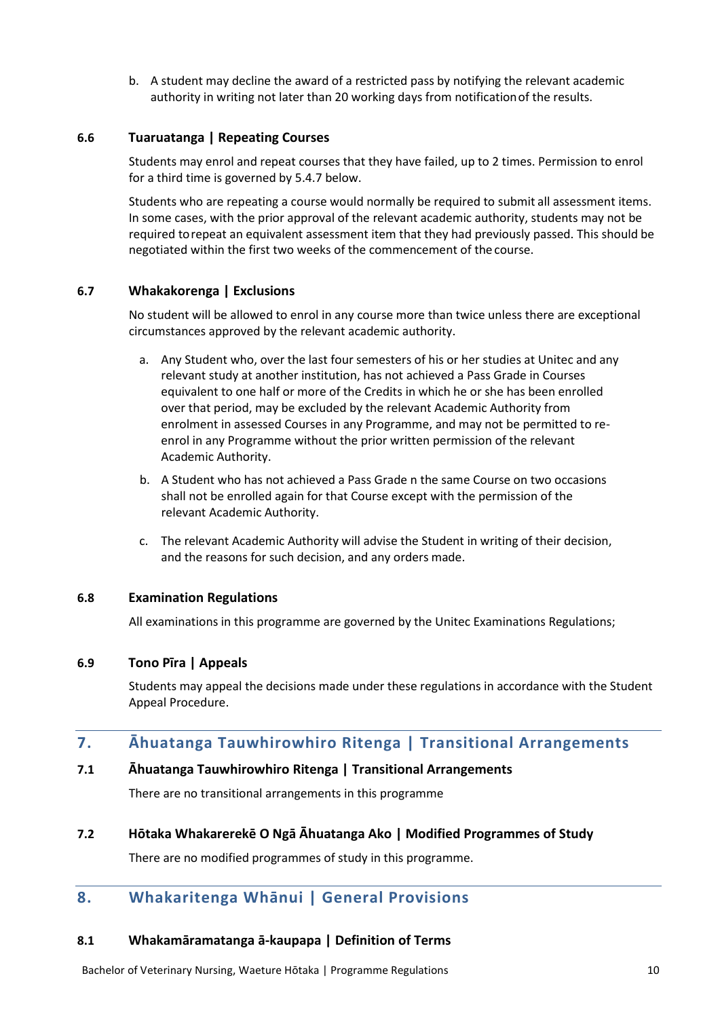b. A student may decline the award of a restricted pass by notifying the relevant academic authority in writing not later than 20 working days from notificationof the results.

#### **6.6 Tuaruatanga | Repeating Courses**

Students may enrol and repeat courses that they have failed, up to 2 times. Permission to enrol for a third time is governed by 5.4.7 below.

Students who are repeating a course would normally be required to submit all assessment items. In some cases, with the prior approval of the relevant academic authority, students may not be required torepeat an equivalent assessment item that they had previously passed. This should be negotiated within the first two weeks of the commencement of the course.

#### **6.7 Whakakorenga | Exclusions**

No student will be allowed to enrol in any course more than twice unless there are exceptional circumstances approved by the relevant academic authority.

- a. Any Student who, over the last four semesters of his or her studies at Unitec and any relevant study at another institution, has not achieved a Pass Grade in Courses equivalent to one half or more of the Credits in which he or she has been enrolled over that period, may be excluded by the relevant Academic Authority from enrolment in assessed Courses in any Programme, and may not be permitted to reenrol in any Programme without the prior written permission of the relevant Academic Authority.
- b. A Student who has not achieved a Pass Grade n the same Course on two occasions shall not be enrolled again for that Course except with the permission of the relevant Academic Authority.
- c. The relevant Academic Authority will advise the Student in writing of their decision, and the reasons for such decision, and any orders made.

#### **6.8 Examination Regulations**

All examinations in this programme are governed by the Unitec Examinations Regulations;

#### **6.9 Tono Pīra | Appeals**

Students may appeal the decisions made under these regulations in accordance with the Student Appeal Procedure.

# <span id="page-9-0"></span>**7. Āhuatanga Tauwhirowhiro Ritenga | Transitional Arrangements**

#### **7.1 Āhuatanga Tauwhirowhiro Ritenga | Transitional Arrangements**

There are no transitional arrangements in this programme

#### **7.2 Hōtaka Whakarerekē O Ngā Āhuatanga Ako | Modified Programmes of Study**

There are no modified programmes of study in this programme.

# <span id="page-9-1"></span>**8. Whakaritenga Whānui | General Provisions**

#### **8.1 Whakamāramatanga ā-kaupapa | Definition of Terms**